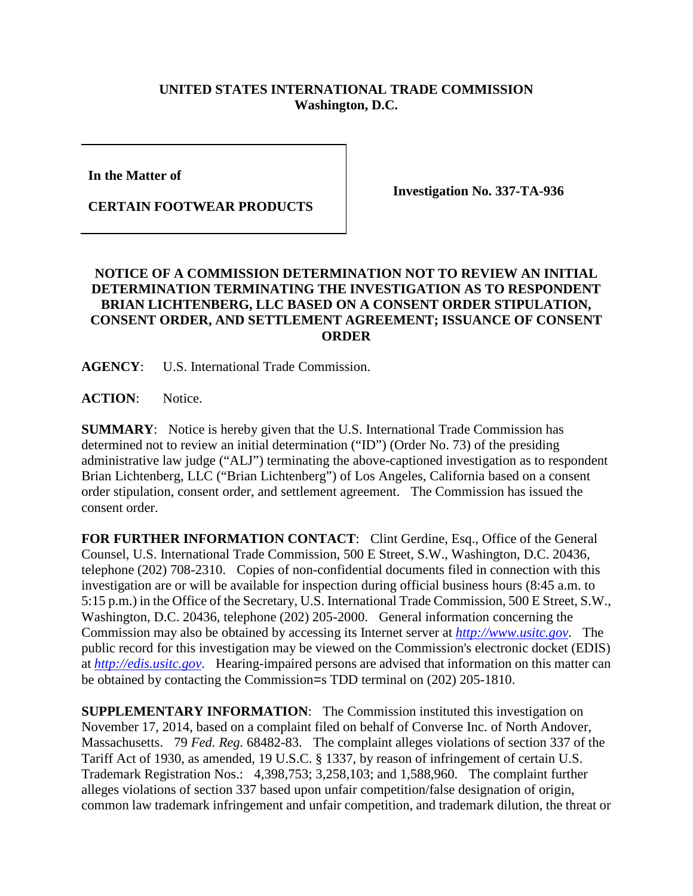## **UNITED STATES INTERNATIONAL TRADE COMMISSION Washington, D.C.**

**In the Matter of** 

**CERTAIN FOOTWEAR PRODUCTS**

**Investigation No. 337-TA-936**

## **NOTICE OF A COMMISSION DETERMINATION NOT TO REVIEW AN INITIAL DETERMINATION TERMINATING THE INVESTIGATION AS TO RESPONDENT BRIAN LICHTENBERG, LLC BASED ON A CONSENT ORDER STIPULATION, CONSENT ORDER, AND SETTLEMENT AGREEMENT; ISSUANCE OF CONSENT ORDER**

**AGENCY**: U.S. International Trade Commission.

ACTION: Notice.

**SUMMARY**: Notice is hereby given that the U.S. International Trade Commission has determined not to review an initial determination ("ID") (Order No. 73) of the presiding administrative law judge ("ALJ") terminating the above-captioned investigation as to respondent Brian Lichtenberg, LLC ("Brian Lichtenberg") of Los Angeles, California based on a consent order stipulation, consent order, and settlement agreement. The Commission has issued the consent order.

FOR FURTHER INFORMATION CONTACT: Clint Gerdine, Esq., Office of the General Counsel, U.S. International Trade Commission, 500 E Street, S.W., Washington, D.C. 20436, telephone (202) 708-2310. Copies of non-confidential documents filed in connection with this investigation are or will be available for inspection during official business hours (8:45 a.m. to 5:15 p.m.) in the Office of the Secretary, U.S. International Trade Commission, 500 E Street, S.W., Washington, D.C. 20436, telephone (202) 205-2000. General information concerning the Commission may also be obtained by accessing its Internet server at *[http://www.usitc.gov](http://www.usitc.gov/)*. The public record for this investigation may be viewed on the Commission's electronic docket (EDIS) at *[http://edis.usitc.gov](http://edis.usitc.gov/)*. Hearing-impaired persons are advised that information on this matter can be obtained by contacting the Commission=s TDD terminal on (202) 205-1810.

**SUPPLEMENTARY INFORMATION**: The Commission instituted this investigation on November 17, 2014, based on a complaint filed on behalf of Converse Inc. of North Andover, Massachusetts. 79 *Fed. Reg.* 68482-83. The complaint alleges violations of section 337 of the Tariff Act of 1930, as amended, 19 U.S.C. § 1337, by reason of infringement of certain U.S. Trademark Registration Nos.: 4,398,753; 3,258,103; and 1,588,960. The complaint further alleges violations of section 337 based upon unfair competition/false designation of origin, common law trademark infringement and unfair competition, and trademark dilution, the threat or